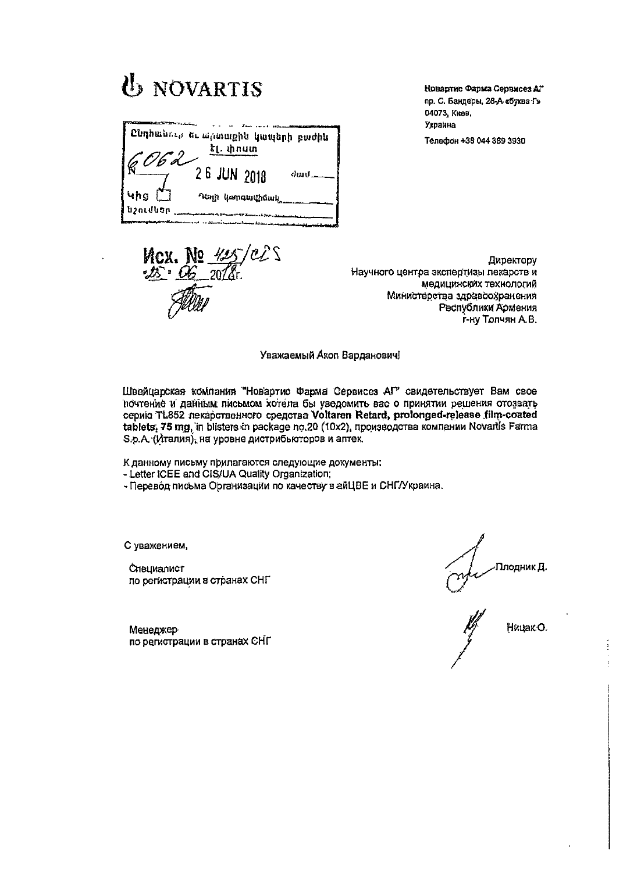|                       | Ընդհանութ եւ արտաքին կապերի բաժին<br><b>ել. փոստ</b> |
|-----------------------|------------------------------------------------------|
|                       |                                                      |
|                       | 2 6 JUN 2018<br>்யாட்                                |
| <b>4hg</b>            | Naya yamatuthowk                                     |
| <b>โป2 กินปีนิ</b> ยภ |                                                      |

*I*<sub>b</sub> NOVARTIS

Новартие Фарма Сервисез АГ пр. С. Бандеры, 28-А «буква Г» 04073, Киев, Украина Телефон +38 044 389 3930

**Mcx.** No 42<br>25 06 2022

Директору Научного центра экспертизы пекарств и медицинских технологий Министерства здравоохранения Республики Армения г-ну Толчян А.В.

Уважаемый Акоп Варданович!

Швейцарская компания "Новартис Фарма Сервисез АГ" свидетельствует Вам свое почтение и данным письмом хотела бы уведомить вас о принятии решения отозвать серию TL852 пекарственного средства Voltaren Retard, prolonged-release film-coated tablets, 75 mg, in blisters in package no.20 (10x2), производства компании Novartis Farma  $S.p.A.$  (Италия), на уровне дистрибьюторов и аптек.

К данному письму прилагаются следующие документы:

- Letter ICEE and CIS/UA Quality Organization;

- Перевод письма Организации по качеству в айЦВЕ и СНГ/Украина.

С уважением,

Специалист по регистрации в странах СНГ

-Плодник <mark>Д.</mark>

Менеджер по регистрации в странах СНГ

Ницак О.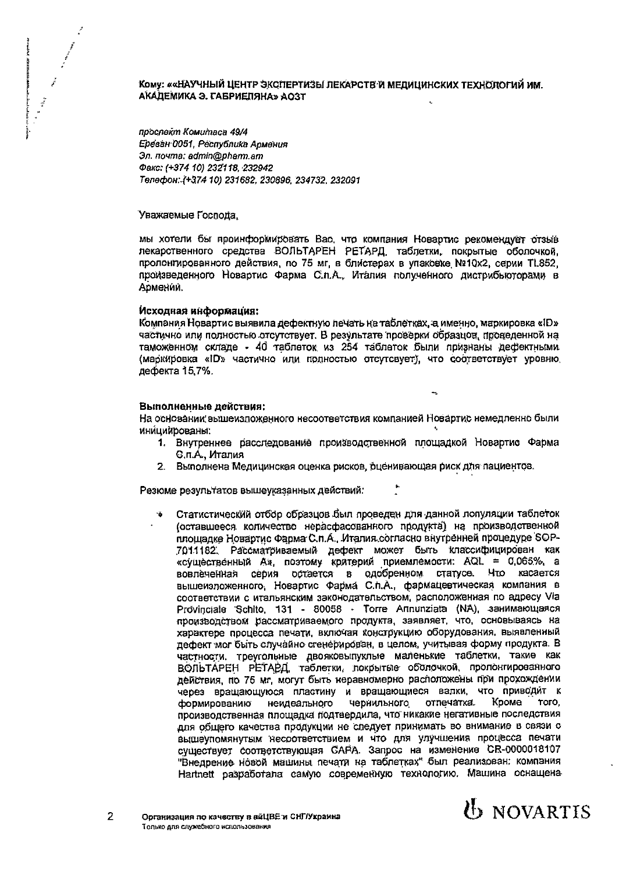

## Кому: ««НАУЧНЫЙ ЦЕНТР ЭКСПЕРТИЗЫ ЛЕКАРСТЕ И МЕДИЦИНСКИХ ТЕХНОЛОГИЙ ИМ. АКАДЕМИКА Э. ГАБРИЕЛЯНА» АОЗТ

проспект Комитаса 49/4 Ереван 0051, Республика Армения Эл. почта: admin@pharm.am Факс: (+374 10) 232118, 232942 Телефон: (+374 10) 231682, 230896, 234732, 232091

Уважаемые Госпола.

мы хотели бы проинформировать Вас, что компания Новартис рекомендует отзыв лекарственного средства ВОЛЬТАРЕН РЕТАРД, таблетки, покрытые оболочкой, пролонгированного действия, по 75 мг, в блистерах в упаковке Nº10x2, серии TL852, произведенного Новартис Фарма С.п.А., Италия полученного дистрибьюторами в Армении.

## Исходная информация:

Компания Новартис выявила дефектную печать на таблетках, а именно, маркировка «ID» частично или полностью отсутствует. В результате проверки образцов, проведенной на таможенном складе - 40 таблеток из 254 таблеток были признаны дефектными (маркировка «ID» частично или подностью отсутсвует), что соответствует уровню дефекта 15,7%.

## Выполненные действия:

На основании вышеизложенного несоответствия компанией Новартис немедленно были инициированы:

- 1. Внутреннее расследование производственной площадкой Новартис Фарма С.п.А., Италия
- 2. Выполнена Медицинская оценка рисков, оценивающая риск для пациентов.

Резюме результатов вышеуказанных действий:

Статистический отбор образцов был проведен для данной лопуляции таблеток (оставшееся количество нерасфасованного продукта) на производственной площадке Новартис Фарма С.п.А., Италия согласно внутренней процедуре SOP-7011182. Рассматриваемый дефект может быть классифицирован как «существенный А», поэтому критерий приемлемости: AQL = 0,065%, а вовлеченная серия остается в одобренном статусе. Что касается вышеизложенного. Новартис Фарма С.п.А., фармацевтическая компания в соответствии с итальянским законодательством, расположенная по адресу Via Provinciale Schito, 131 - 80058 - Torre Annunziata (NA), занимающаяся производством рассматриваемого продукта, заявляет, что, основываясь на характере процесса печати, включая конструкцию оборудования, выявленный дефект мог быть случайно сгенерирован, в целом, учитывая форму продукта. В частности, треугольные двояковыпуклые маленькие таблетки, такие как ВОЛЬТАРЕН РЕТАРД, таблетки, покрытые оболочкой, пропонгированного действия, по 75 мг, могут быть неравномерно расположены при прохождении через вращающуюся пластину и вращающиеся валки, что приводит к чернильного отпечатка. Кроме неидеального **TOTO** формированию производственная площадка подтвердила, что никакие негативные последствия для общего качества продукции не следует принимать во внимание в связи с вышеупомянутым несоответствием и что для улучшения процесса печати cyществует соответствующая GAPA. Запрос на изменение CR-0000018107 "Внедрение новой машины печати на таблетках" был реализован: компания Hartnett разработала самую современную технологию. Машина оснащена